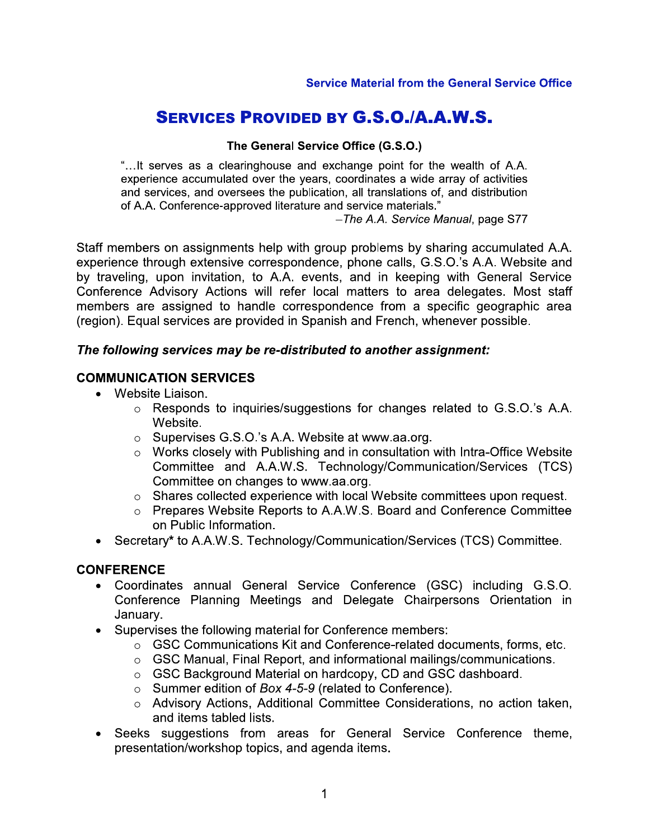# **SERVICES PROVIDED BY G.S.O./A.A.W.S.**

#### The General Service Office (G.S.O.)

"...It serves as a clearinghouse and exchange point for the wealth of A.A. experience accumulated over the years, coordinates a wide array of activities and services, and oversees the publication, all translations of, and distribution of A.A. Conference-approved literature and service materials."

-The A.A. Service Manual, page S77

Staff members on assignments help with group problems by sharing accumulated A.A. experience through extensive correspondence, phone calls, G.S.O.'s A.A. Website and by traveling, upon invitation, to A.A. events, and in keeping with General Service Conference Advisory Actions will refer local matters to area delegates. Most staff members are assigned to handle correspondence from a specific geographic area (region). Equal services are provided in Spanish and French, whenever possible.

#### The following services may be re-distributed to another assignment:

#### **COMMUNICATION SERVICES**

- Website Liaison.
	- $\circ$  Responds to inquiries/suggestions for changes related to G.S.O.'s A.A. Website.
	- Supervises G.S.O.'s A.A. Website at www.aa.org.
	- $\circ$  Works closely with Publishing and in consultation with Intra-Office Website Committee and A.A.W.S. Technology/Communication/Services (TCS) Committee on changes to www.aa.org.
	- Shares collected experience with local Website committees upon request.
	- o Prepares Website Reports to A.A.W.S. Board and Conference Committee on Public Information.
- Secretary\* to A.A.W.S. Technology/Communication/Services (TCS) Committee.

#### **CONFERENCE**

- Coordinates annual General Service Conference (GSC) including G.S.O. Conference Planning Meetings and Delegate Chairpersons Orientation in January.
- Supervises the following material for Conference members:
	- $\circ$  GSC Communications Kit and Conference-related documents, forms, etc.
	- $\circ$  GSC Manual, Final Report, and informational mailings/communications.
	- GSC Background Material on hardcopy, CD and GSC dashboard.
	- $\circ$  Summer edition of Box 4-5-9 (related to Conference).
	- o Advisory Actions, Additional Committee Considerations, no action taken, and items tabled lists.
- Seeks suggestions from areas for General Service Conference theme, presentation/workshop topics, and agenda items.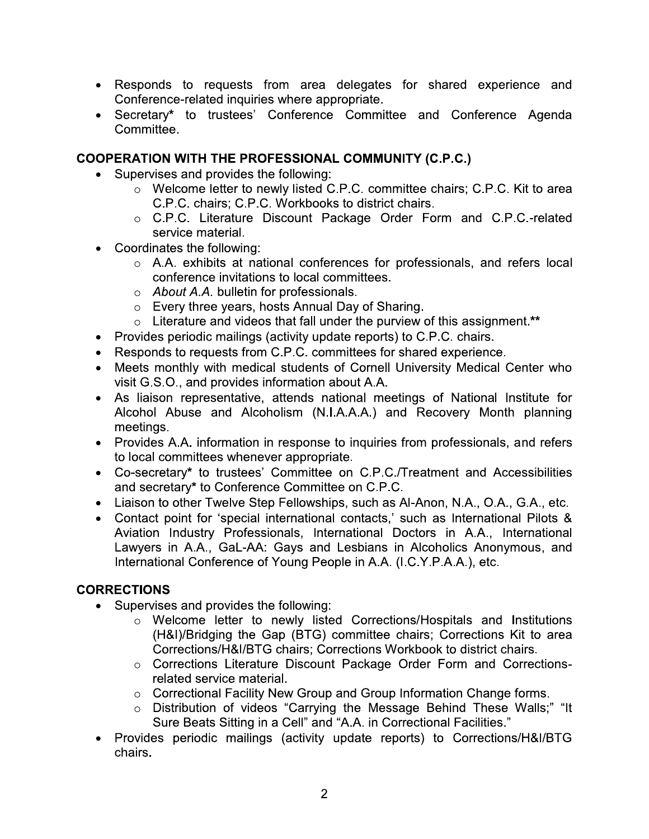- Responds to requests from area delegates for shared experience and Conference-related inquiries where appropriate.
- Secretary\* to trustees' Conference Committee and Conference Agenda Committee.

## **COOPERATION WITH THE PROFESSIONAL COMMUNITY (C.P.C.)**

- Supervises and provides the following:
	- o Welcome letter to newly listed C.P.C. committee chairs; C.P.C. Kit to area C.P.C. chairs; C.P.C. Workbooks to district chairs.
	- o C.P.C. Literature Discount Package Order Form and C.P.C.-related service material.
- Coordinates the following:
	- o A.A. exhibits at national conferences for professionals, and refers local conference invitations to local committees.
	- o About A.A. bulletin for professionals.
	- $\circ$  Every three years, hosts Annual Day of Sharing.
	- $\circ$  Literature and videos that fall under the purview of this assignment.\*\*
- Provides periodic mailings (activity update reports) to C.P.C. chairs.
- Responds to requests from C.P.C. committees for shared experience.
- Meets monthly with medical students of Cornell University Medical Center who visit G.S.O., and provides information about A.A.
- As liaison representative, attends national meetings of National Institute for Alcohol Abuse and Alcoholism (N.I.A.A.A.) and Recovery Month planning meetings.
- Provides A.A. information in response to inquiries from professionals, and refers to local committees whenever appropriate.
- Co-secretary\* to trustees' Committee on C.P.C./Treatment and Accessibilities and secretary\* to Conference Committee on C.P.C.
- Liaison to other Twelve Step Fellowships, such as Al-Anon, N.A., O.A., G.A., etc.
- Contact point for 'special international contacts,' such as International Pilots & Aviation Industry Professionals, International Doctors in A.A., International Lawyers in A.A., GaL-AA: Gays and Lesbians in Alcoholics Anonymous, and International Conference of Young People in A.A. (I.C.Y.P.A.A.), etc.

# **CORRECTIONS**

- Supervises and provides the following:
	- o Welcome letter to newly listed Corrections/Hospitals and Institutions (H&I)/Bridging the Gap (BTG) committee chairs; Corrections Kit to area Corrections/H&I/BTG chairs: Corrections Workbook to district chairs.
	- o Corrections Literature Discount Package Order Form and Correctionsrelated service material.
	- Correctional Facility New Group and Group Information Change forms.
	- o Distribution of videos "Carrying the Message Behind These Walls;" "It Sure Beats Sitting in a Cell" and "A.A. in Correctional Facilities."
- Provides periodic mailings (activity update reports) to Corrections/H&I/BTG chairs.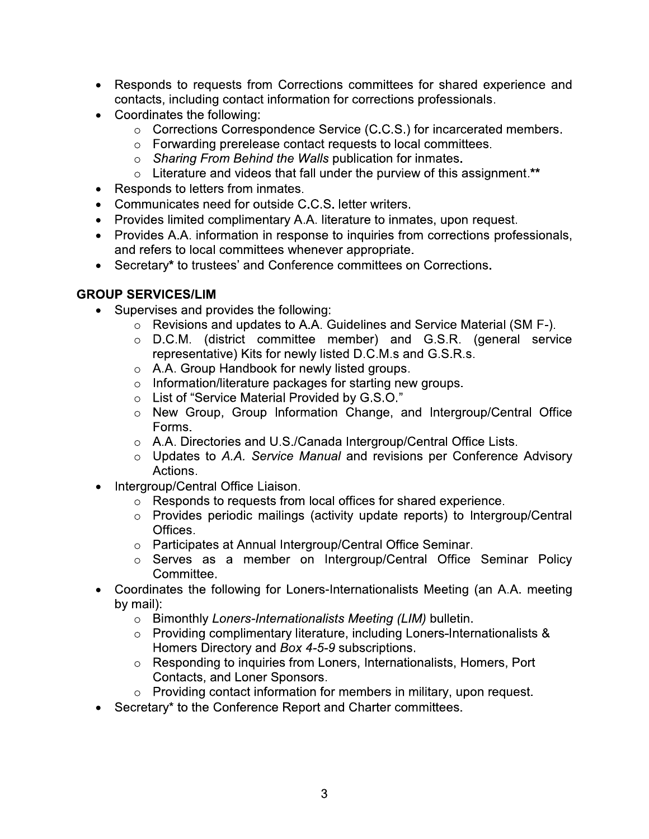- Responds to requests from Corrections committees for shared experience and contacts, including contact information for corrections professionals.
- Coordinates the following:
	- Corrections Correspondence Service (C.C.S.) for incarcerated members.
	- o Forwarding prerelease contact requests to local committees.
	- Sharing From Behind the Walls publication for inmates.
	- $\circ$  Literature and videos that fall under the purview of this assignment.\*\*
- Responds to letters from inmates.
- Communicates need for outside C.C.S. letter writers.
- Provides limited complimentary A.A. literature to inmates, upon request.
- Provides A.A. information in response to inquiries from corrections professionals, and refers to local committees whenever appropriate.
- Secretary\* to trustees' and Conference committees on Corrections.

## **GROUP SERVICES/LIM**

- Supervises and provides the following:
	- Revisions and updates to A.A. Guidelines and Service Material (SM F-).
	- $\circ$  D.C.M. (district committee member) and G.S.R. (general service representative) Kits for newly listed D.C.M.s and G.S.R.s.
	- A.A. Group Handbook for newly listed groups.
	- o Information/literature packages for starting new groups.
	- List of "Service Material Provided by G.S.O."
	- o New Group, Group Information Change, and Intergroup/Central Office Forms.
	- o A.A. Directories and U.S./Canada Intergroup/Central Office Lists.
	- o Updates to A.A. Service Manual and revisions per Conference Advisory Actions.
- Intergroup/Central Office Liaison.
	- $\circ$  Responds to requests from local offices for shared experience.
	- o Provides periodic mailings (activity update reports) to Intergroup/Central Offices.
	- o Participates at Annual Intergroup/Central Office Seminar.
	- o Serves as a member on Intergroup/Central Office Seminar Policy Committee.
- Coordinates the following for Loners-Internationalists Meeting (an A.A. meeting by mail):
	- o Bimonthly Loners-Internationalists Meeting (LIM) bulletin.
	- $\circ$  Providing complimentary literature, including Loners-Internationalists & Homers Directory and Box 4-5-9 subscriptions.
	- Responding to inquiries from Loners, Internationalists, Homers, Port Contacts, and Loner Sponsors.
	- $\circ$  Providing contact information for members in military, upon request.
- Secretary\* to the Conference Report and Charter committees.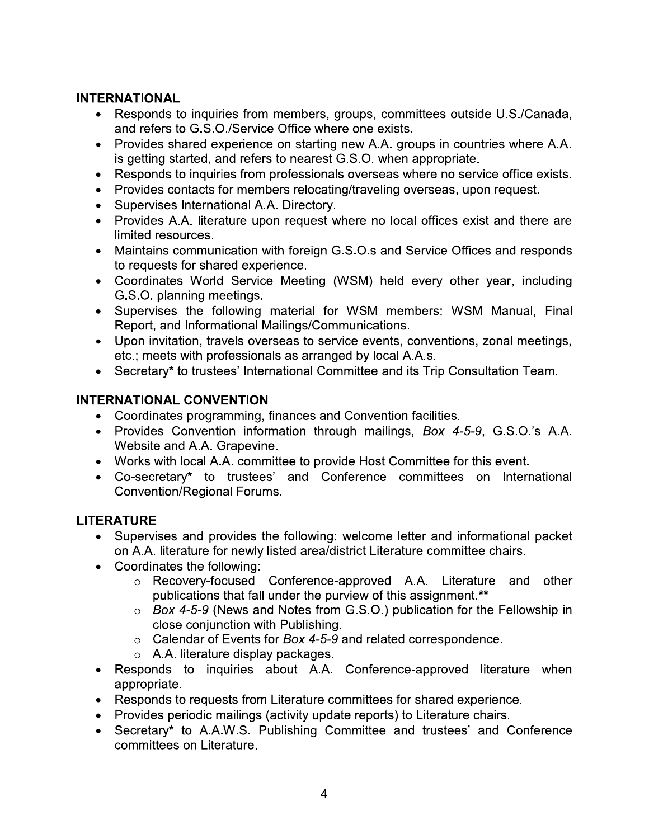#### **INTERNATIONAL**

- Responds to inquiries from members, groups, committees outside U.S./Canada, and refers to G.S.O./Service Office where one exists.
- Provides shared experience on starting new A.A. groups in countries where A.A. is getting started, and refers to nearest G.S.O. when appropriate.
- Responds to inquiries from professionals overseas where no service office exists.
- Provides contacts for members relocating/traveling overseas, upon request.
- Supervises International A.A. Directory.
- Provides A.A. literature upon request where no local offices exist and there are limited resources.
- Maintains communication with foreign G.S.O.s and Service Offices and responds to requests for shared experience.
- Coordinates World Service Meeting (WSM) held every other year, including G.S.O. planning meetings.
- Supervises the following material for WSM members: WSM Manual, Final Report, and Informational Mailings/Communications.
- Upon invitation, travels overseas to service events, conventions, zonal meetings, etc.; meets with professionals as arranged by local A.A.s.
- Secretary\* to trustees' International Committee and its Trip Consultation Team.

#### **INTERNATIONAL CONVENTION**

- Coordinates programming, finances and Convention facilities.
- Provides Convention information through mailings, Box 4-5-9, G.S.O.'s A.A. Website and A.A. Grapevine.
- Works with local A.A. committee to provide Host Committee for this event.
- Co-secretary\* to trustees' and Conference committees on International **Convention/Regional Forums.**

## **LITERATURE**

- Supervises and provides the following: welcome letter and informational packet on A.A. literature for newly listed area/district Literature committee chairs.
- Coordinates the following:
	- Recovery-focused Conference-approved A.A. Literature and other publications that fall under the purview of this assignment.\*\*
	- $\circ$  Box 4-5-9 (News and Notes from G.S.O.) publication for the Fellowship in close conjunction with Publishing.
	- $\circ$  Calendar of Events for Box 4-5-9 and related correspondence.
	- $\circ$  A.A. literature display packages.
- Responds to inquiries about A.A. Conference-approved literature when appropriate.
- Responds to requests from Literature committees for shared experience.
- Provides periodic mailings (activity update reports) to Literature chairs.
- Secretary\* to A.A.W.S. Publishing Committee and trustees' and Conference committees on Literature.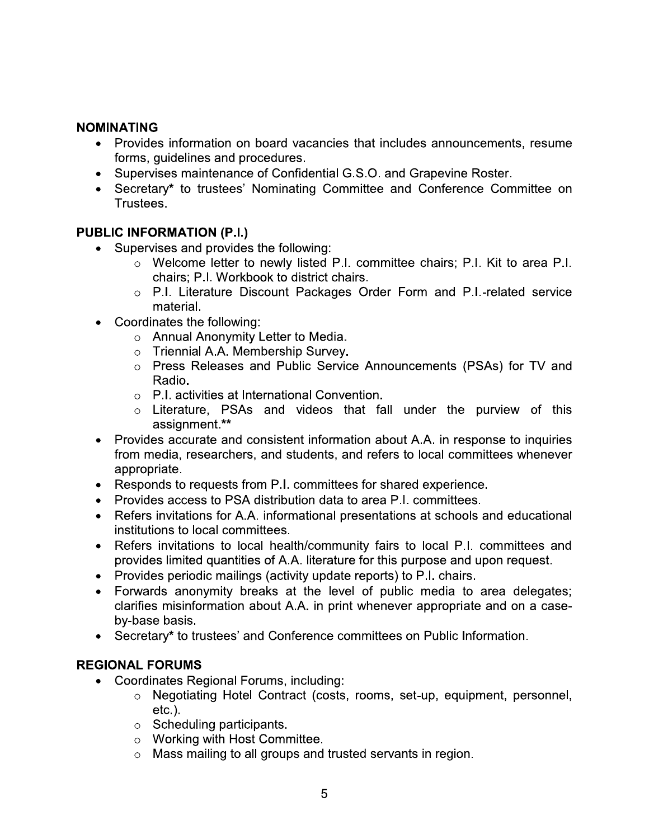#### **NOMINATING**

- Provides information on board vacancies that includes announcements, resume forms, guidelines and procedures.
- Supervises maintenance of Confidential G.S.O. and Grapevine Roster.
- Secretary\* to trustees' Nominating Committee and Conference Committee on Trustees.

#### **PUBLIC INFORMATION (P.I.)**

- Supervises and provides the following:
	- o Welcome letter to newly listed P.I. committee chairs; P.I. Kit to area P.I. chairs; P.I. Workbook to district chairs.
	- o P.I. Literature Discount Packages Order Form and P.I.-related service material.
- Coordinates the following:
	- o Annual Anonymity Letter to Media.
	- o Triennial A.A. Membership Survey.
	- o Press Releases and Public Service Announcements (PSAs) for TV and Radio.
	- $\circ$  P.I. activities at International Convention.
	- o Literature, PSAs and videos that fall under the purview of this assignment.\*\*
- Provides accurate and consistent information about A.A. in response to inquiries from media, researchers, and students, and refers to local committees whenever appropriate.
- Responds to requests from P.I. committees for shared experience.
- Provides access to PSA distribution data to area P.I. committees.
- Refers invitations for A.A. informational presentations at schools and educational institutions to local committees.
- Refers invitations to local health/community fairs to local P.I. committees and  $\bullet$ provides limited quantities of A.A. literature for this purpose and upon request.
- Provides periodic mailings (activity update reports) to P.I. chairs.
- Forwards anonymity breaks at the level of public media to area delegates; clarifies misinformation about A.A. in print whenever appropriate and on a caseby-base basis.
- Secretary\* to trustees' and Conference committees on Public Information.

## **REGIONAL FORUMS**

- Coordinates Regional Forums, including:
	- o Negotiating Hotel Contract (costs, rooms, set-up, equipment, personnel,  $etc.$ ).
	- $\circ$  Scheduling participants.
	- o Working with Host Committee.
	- $\circ$  Mass mailing to all groups and trusted servants in region.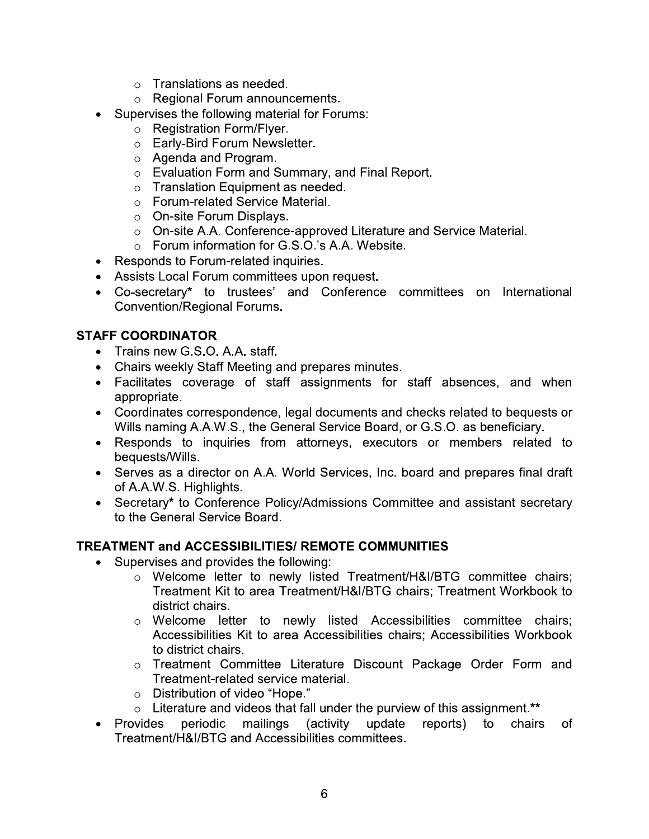- $\circ$  Translations as needed.
- o Regional Forum announcements.
- Supervises the following material for Forums:
	- $\circ$  Registration Form/Flyer.
	- o Early-Bird Forum Newsletter.
	- $\circ$  Agenda and Program.
	- o Evaluation Form and Summary, and Final Report.
	- $\circ$  Translation Equipment as needed.
	- Forum-related Service Material.
	- $\circ$  On-site Forum Displays.
	- o On-site A.A. Conference-approved Literature and Service Material.
	- Forum information for G.S.O.'s A.A. Website.
- Responds to Forum-related inquiries.
- Assists Local Forum committees upon request.
- Co-secretary\* to trustees' and Conference committees on International Convention/Regional Forums.

## **STAFF COORDINATOR**

- Trains new G.S.O. A.A. staff.
- Chairs weekly Staff Meeting and prepares minutes.
- Facilitates coverage of staff assignments for staff absences, and when appropriate.
- Coordinates correspondence, legal documents and checks related to bequests or Wills naming A.A.W.S., the General Service Board, or G.S.O. as beneficiary.
- Responds to inquiries from attorneys, executors or members related to bequests/Wills.
- Serves as a director on A.A. World Services, Inc. board and prepares final draft of A.A.W.S. Highlights.
- Secretary\* to Conference Policy/Admissions Committee and assistant secretary to the General Service Board.

## **TREATMENT and ACCESSIBILITIES/ REMOTE COMMUNITIES**

- Supervises and provides the following:
	- o Welcome letter to newly listed Treatment/H&I/BTG committee chairs; Treatment Kit to area Treatment/H&I/BTG chairs; Treatment Workbook to district chairs.
	- o Welcome letter to newly listed Accessibilities committee chairs; Accessibilities Kit to area Accessibilities chairs; Accessibilities Workbook to district chairs.
	- o Treatment Committee Literature Discount Package Order Form and Treatment-related service material.
	- o Distribution of video "Hope."
	- $\circ$  Literature and videos that fall under the purview of this assignment.\*\*
- Provides periodic mailings *(activity* update reports) to chairs **of** Treatment/H&I/BTG and Accessibilities committees.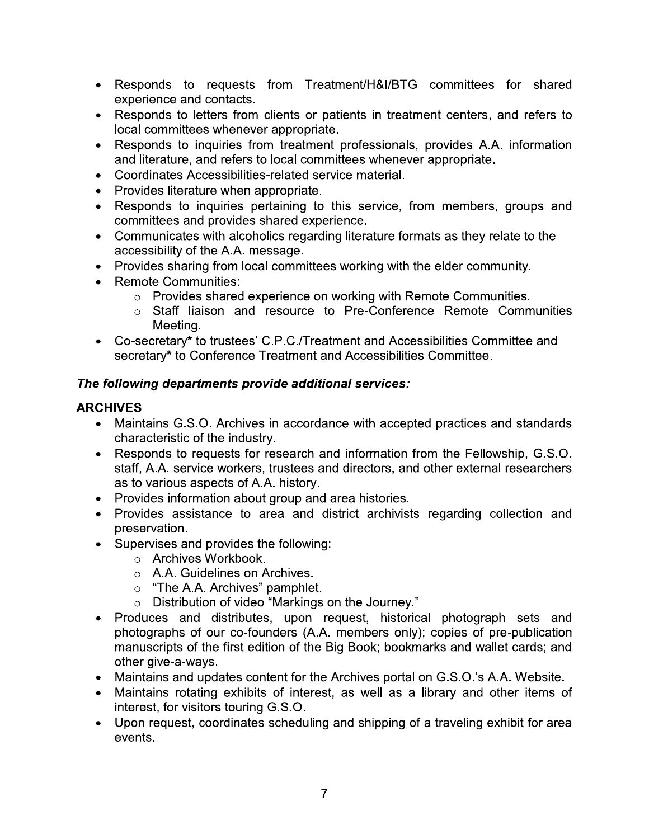- Responds to requests from Treatment/H&I/BTG committees for shared experience and contacts.
- Responds to letters from clients or patients in treatment centers, and refers to local committees whenever appropriate.
- Responds to inquiries from treatment professionals, provides A.A. information and literature, and refers to local committees whenever appropriate.
- Coordinates Accessibilities-related service material.
- Provides literature when appropriate.
- Responds to inquiries pertaining to this service, from members, groups and committees and provides shared experience.
- Communicates with alcoholics regarding literature formats as they relate to the accessibility of the A.A. message.
- Provides sharing from local committees working with the elder community.
- Remote Communities:
	- o Provides shared experience on working with Remote Communities.
	- o Staff liaison and resource to Pre-Conference Remote Communities Meeting.
- Co-secretary\* to trustees' C.P.C./Treatment and Accessibilities Committee and secretary\* to Conference Treatment and Accessibilities Committee.

## The following departments provide additional services:

## **ARCHIVES**

- Maintains G.S.O. Archives in accordance with accepted practices and standards characteristic of the industry.
- Responds to requests for research and information from the Fellowship, G.S.O. staff, A.A. service workers, trustees and directors, and other external researchers as to various aspects of A.A. history.
- Provides information about group and area histories.
- Provides assistance to area and district archivists regarding collection and preservation.
- Supervises and provides the following:
	- o Archives Workbook.
	- $\circ$  A.A. Guidelines on Archives.
	- $\circ$  "The A.A. Archives" pamphlet.
	- o Distribution of video "Markings on the Journey."
- Produces and distributes, upon request, historical photograph sets and photographs of our co-founders (A.A. members only); copies of pre-publication manuscripts of the first edition of the Big Book; bookmarks and wallet cards; and other give-a-ways.
- Maintains and updates content for the Archives portal on G.S.O.'s A.A. Website.
- Maintains rotating exhibits of interest, as well as a library and other items of interest, for visitors touring G.S.O.
- Upon request, coordinates scheduling and shipping of a traveling exhibit for area events.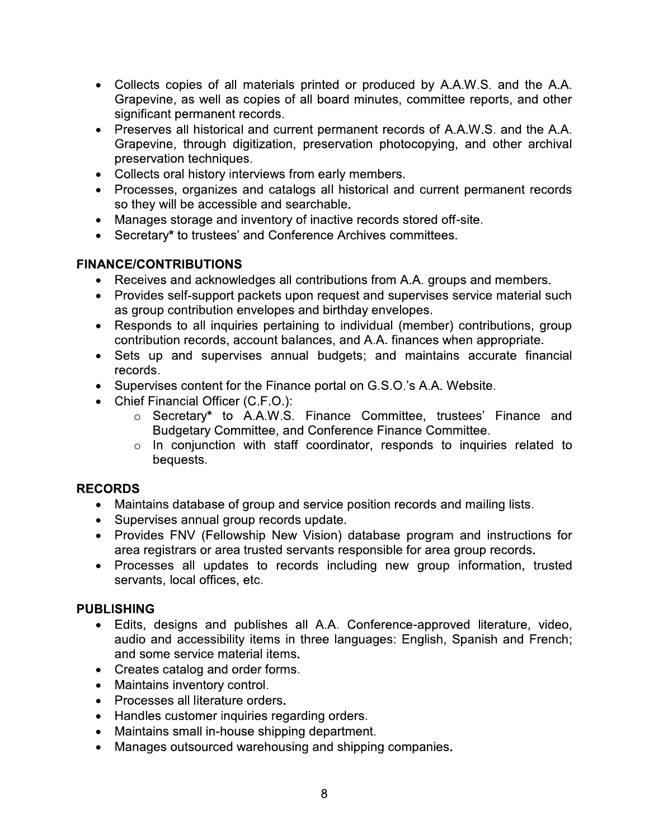- Collects copies of all materials printed or produced by A.A.W.S. and the A.A. Grapevine, as well as copies of all board minutes, committee reports, and other significant permanent records.
- Preserves all historical and current permanent records of A.A.W.S. and the A.A. Grapevine, through digitization, preservation photocopying, and other archival preservation techniques.
- Collects oral history interviews from early members.
- Processes, organizes and catalogs all historical and current permanent records so they will be accessible and searchable.
- Manages storage and inventory of inactive records stored off-site.
- Secretary\* to trustees' and Conference Archives committees.

## **FINANCE/CONTRIBUTIONS**

- Receives and acknowledges all contributions from A.A. groups and members.
- Provides self-support packets upon request and supervises service material such as group contribution envelopes and birthday envelopes.
- Responds to all inquiries pertaining to individual (member) contributions, group contribution records, account balances, and A.A. finances when appropriate.
- Sets up and supervises annual budgets; and maintains accurate financial records.
- Supervises content for the Finance portal on G.S.O.'s A.A. Website.
- Chief Financial Officer (C.F.O.):
	- Secretary\* to A.A.W.S. Finance Committee, trustees' Finance and Budgetary Committee, and Conference Finance Committee.
	- $\circ$  In conjunction with staff coordinator, responds to inquiries related to bequests.

## **RECORDS**

- Maintains database of group and service position records and mailing lists.
- Supervises annual group records update.
- Provides FNV (Fellowship New Vision) database program and instructions for area registrars or area trusted servants responsible for area group records.
- Processes all updates to records including new group information, trusted servants, local offices, etc.

## **PUBLISHING**

- Edits, designs and publishes all A.A. Conference-approved literature, video, audio and accessibility items in three languages: English, Spanish and French; and some service material items.
- Creates catalog and order forms.
- Maintains inventory control.
- Processes all literature orders.
- Handles customer inquiries regarding orders.
- Maintains small in-house shipping department.
- Manages outsourced warehousing and shipping companies.